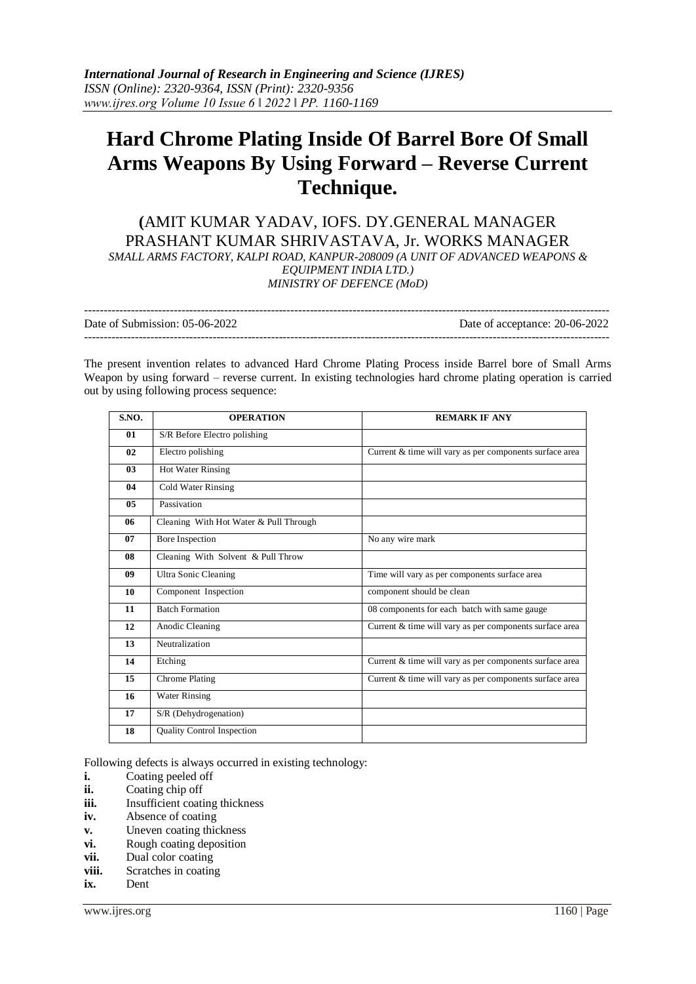# **Hard Chrome Plating Inside Of Barrel Bore Of Small Arms Weapons By Using Forward – Reverse Current Technique.**

**(**AMIT KUMAR YADAV, IOFS. DY.GENERAL MANAGER PRASHANT KUMAR SHRIVASTAVA, Jr. WORKS MANAGER *SMALL ARMS FACTORY, KALPI ROAD, KANPUR-208009 (A UNIT OF ADVANCED WEAPONS & EQUIPMENT INDIA LTD.) MINISTRY OF DEFENCE (MoD)*

| Date of Submission: 05-06-2022 | Date of acceptance: 20-06-2022 |
|--------------------------------|--------------------------------|
|                                |                                |

The present invention relates to advanced Hard Chrome Plating Process inside Barrel bore of Small Arms Weapon by using forward – reverse current. In existing technologies hard chrome plating operation is carried out by using following process sequence:

| S.NO.          | <b>OPERATION</b>                       | <b>REMARK IF ANY</b>                                    |
|----------------|----------------------------------------|---------------------------------------------------------|
| 01             | S/R Before Electro polishing           |                                                         |
| 02             | Electro polishing                      | Current & time will vary as per components surface area |
| 0 <sub>3</sub> | Hot Water Rinsing                      |                                                         |
| 04             | Cold Water Rinsing                     |                                                         |
| 05             | Passivation                            |                                                         |
| 06             | Cleaning With Hot Water & Pull Through |                                                         |
| 07             | <b>Bore Inspection</b>                 | No any wire mark                                        |
| 08             | Cleaning With Solvent & Pull Throw     |                                                         |
| 09             | Ultra Sonic Cleaning                   | Time will vary as per components surface area           |
| 10             | Component Inspection                   | component should be clean                               |
| 11             | <b>Batch Formation</b>                 | 08 components for each batch with same gauge            |
| 12             | Anodic Cleaning                        | Current & time will vary as per components surface area |
| 13             | Neutralization                         |                                                         |
| 14             | Etching                                | Current & time will vary as per components surface area |
| 15             | Chrome Plating                         | Current & time will vary as per components surface area |
| 16             | <b>Water Rinsing</b>                   |                                                         |
| 17             | S/R (Dehydrogenation)                  |                                                         |
| 18             | <b>Quality Control Inspection</b>      |                                                         |

Following defects is always occurred in existing technology:

- **i.** Coating peeled off
- **ii.** Coating chip off
- **iii.** Insufficient coating thickness
- **iv.** Absence of coating
- **v.** Uneven coating thickness
- **vi.** Rough coating deposition
- **vii.** Dual color coating
- **viii.** Scratches in coating
- **ix.** Dent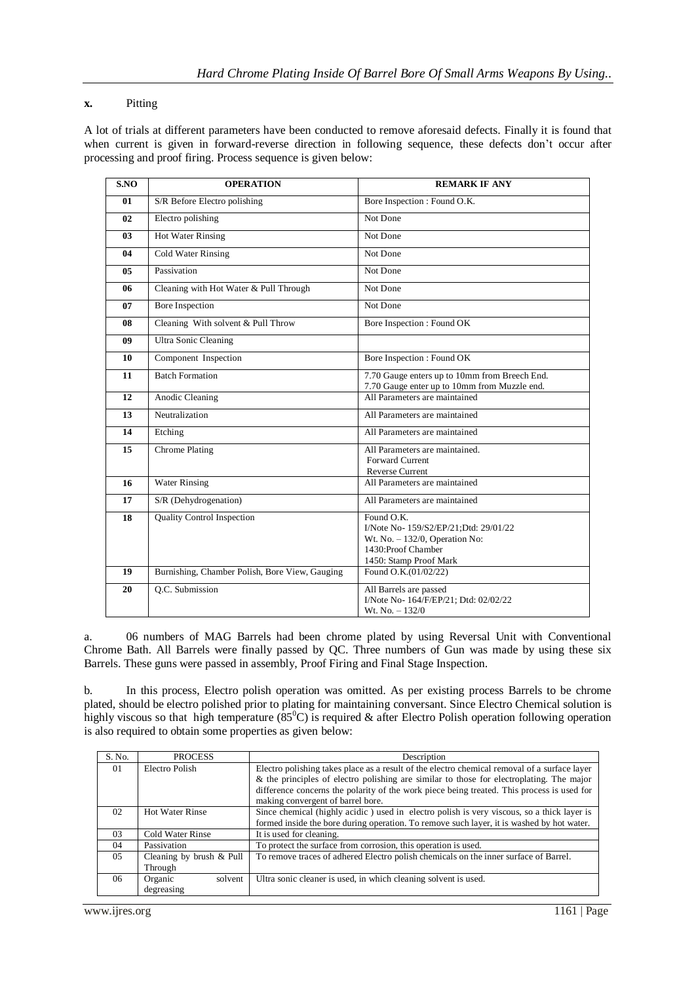### **x.** Pitting

A lot of trials at different parameters have been conducted to remove aforesaid defects. Finally it is found that when current is given in forward-reverse direction in following sequence, these defects don't occur after processing and proof firing. Process sequence is given below:

| S.NO           | <b>OPERATION</b>                               | <b>REMARK IF ANY</b>                                                                                                                    |
|----------------|------------------------------------------------|-----------------------------------------------------------------------------------------------------------------------------------------|
| 01             | S/R Before Electro polishing                   | Bore Inspection : Found O.K.                                                                                                            |
| 02             | Electro polishing                              | Not Done                                                                                                                                |
| 0 <sub>3</sub> | <b>Hot Water Rinsing</b>                       | Not Done                                                                                                                                |
| 04             | <b>Cold Water Rinsing</b>                      | Not Done                                                                                                                                |
| 05             | Passivation                                    | Not Done                                                                                                                                |
| 06             | Cleaning with Hot Water & Pull Through         | Not Done                                                                                                                                |
| 07             | <b>Bore Inspection</b>                         | Not Done                                                                                                                                |
| 08             | Cleaning With solvent & Pull Throw             | Bore Inspection : Found OK                                                                                                              |
| 09             | Ultra Sonic Cleaning                           |                                                                                                                                         |
| 10             | Component Inspection                           | Bore Inspection: Found OK                                                                                                               |
| 11             | <b>Batch Formation</b>                         | 7.70 Gauge enters up to 10mm from Breech End.<br>7.70 Gauge enter up to 10mm from Muzzle end.                                           |
| 12             | <b>Anodic Cleaning</b>                         | All Parameters are maintained                                                                                                           |
| 13             | Neutralization                                 | All Parameters are maintained                                                                                                           |
| 14             | Etching                                        | All Parameters are maintained                                                                                                           |
| 15             | Chrome Plating                                 | All Parameters are maintained.                                                                                                          |
|                |                                                | <b>Forward Current</b><br><b>Reverse Current</b>                                                                                        |
| 16             | <b>Water Rinsing</b>                           | All Parameters are maintained                                                                                                           |
| 17             | S/R (Dehydrogenation)                          | All Parameters are maintained                                                                                                           |
| 18             | <b>Ouality Control Inspection</b>              | Found O.K.<br>I/Note No- 159/S2/EP/21;Dtd: 29/01/22<br>Wt. No. $-132/0$ , Operation No:<br>1430:Proof Chamber<br>1450: Stamp Proof Mark |
| 19             | Burnishing, Chamber Polish, Bore View, Gauging | Found O.K.(01/02/22)                                                                                                                    |
| 20             | Q.C. Submission                                | All Barrels are passed<br>I/Note No- 164/F/EP/21; Dtd: 02/02/22<br>Wt. No. $- 132/0$                                                    |

a. 06 numbers of MAG Barrels had been chrome plated by using Reversal Unit with Conventional Chrome Bath. All Barrels were finally passed by QC. Three numbers of Gun was made by using these six Barrels. These guns were passed in assembly, Proof Firing and Final Stage Inspection.

b. In this process, Electro polish operation was omitted. As per existing process Barrels to be chrome plated, should be electro polished prior to plating for maintaining conversant. Since Electro Chemical solution is highly viscous so that high temperature  $(85^{\circ}C)$  is required & after Electro Polish operation following operation is also required to obtain some properties as given below:

| S. No. | <b>PROCESS</b>           | Description                                                                                  |
|--------|--------------------------|----------------------------------------------------------------------------------------------|
| 01     | Electro Polish           | Electro polishing takes place as a result of the electro chemical removal of a surface layer |
|        |                          | & the principles of electro polishing are similar to those for electroplating. The major     |
|        |                          | difference concerns the polarity of the work piece being treated. This process is used for   |
|        |                          | making convergent of barrel bore.                                                            |
| 02     | <b>Hot Water Rinse</b>   | Since chemical (highly acidic) used in electro polish is very viscous, so a thick layer is   |
|        |                          | formed inside the bore during operation. To remove such layer, it is washed by hot water.    |
| 03     | Cold Water Rinse         | It is used for cleaning.                                                                     |
| 04     | Passivation              | To protect the surface from corrosion, this operation is used.                               |
| 05     | Cleaning by brush & Pull | To remove traces of adhered Electro polish chemicals on the inner surface of Barrel.         |
|        | Through                  |                                                                                              |
| 06     | solvent<br>Organic       | Ultra sonic cleaner is used, in which cleaning solvent is used.                              |
|        | degreasing               |                                                                                              |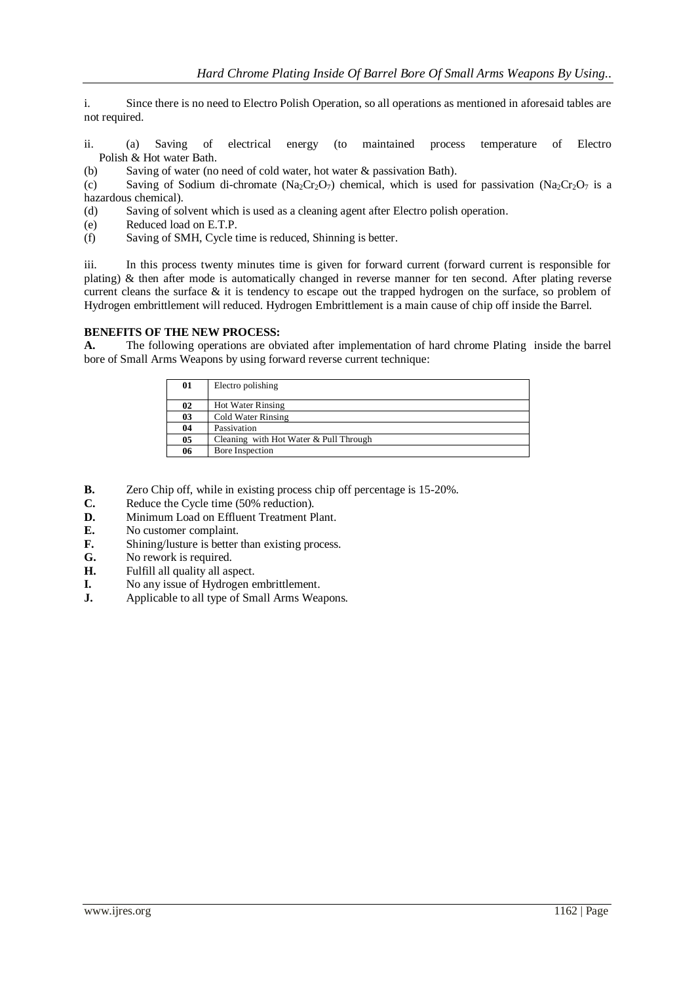i. Since there is no need to Electro Polish Operation, so all operations as mentioned in aforesaid tables are not required.

- ii. (a) Saving of electrical energy (to maintained process temperature of Electro Polish & Hot water Bath.
- (b) Saving of water (no need of cold water, hot water & passivation Bath).

(c) Saving of Sodium di-chromate  $(Na_2Cr_2O_7)$  chemical, which is used for passivation  $(Na_2Cr_2O_7)$  is a hazardous chemical).

(d) Saving of solvent which is used as a cleaning agent after Electro polish operation.

- (e) Reduced load on E.T.P.
- (f) Saving of SMH, Cycle time is reduced, Shinning is better.

iii. In this process twenty minutes time is given for forward current (forward current is responsible for plating) & then after mode is automatically changed in reverse manner for ten second. After plating reverse current cleans the surface & it is tendency to escape out the trapped hydrogen on the surface, so problem of Hydrogen embrittlement will reduced. Hydrogen Embrittlement is a main cause of chip off inside the Barrel.

### **BENEFITS OF THE NEW PROCESS:**

**A.** The following operations are obviated after implementation of hard chrome Plating inside the barrel bore of Small Arms Weapons by using forward reverse current technique:

| 01 | Electro polishing                      |
|----|----------------------------------------|
| 02 | <b>Hot Water Rinsing</b>               |
| 03 | Cold Water Rinsing                     |
| 04 | Passivation                            |
| 05 | Cleaning with Hot Water & Pull Through |
| 06 | Bore Inspection                        |

- **B.** Zero Chip off, while in existing process chip off percentage is 15-20%.
- **C.** Reduce the Cycle time (50% reduction).
- **D.** Minimum Load on Effluent Treatment Plant.<br>**E.** No customer complaint.
- **E.** No customer complaint.<br>**F.** Shining/lusture is better
- Shining/lusture is better than existing process.
- **G.** No rework is required.
- **H.** Fulfill all quality all aspect.
- **I.** No any issue of Hydrogen embrittlement.
- **J.** Applicable to all type of Small Arms Weapons.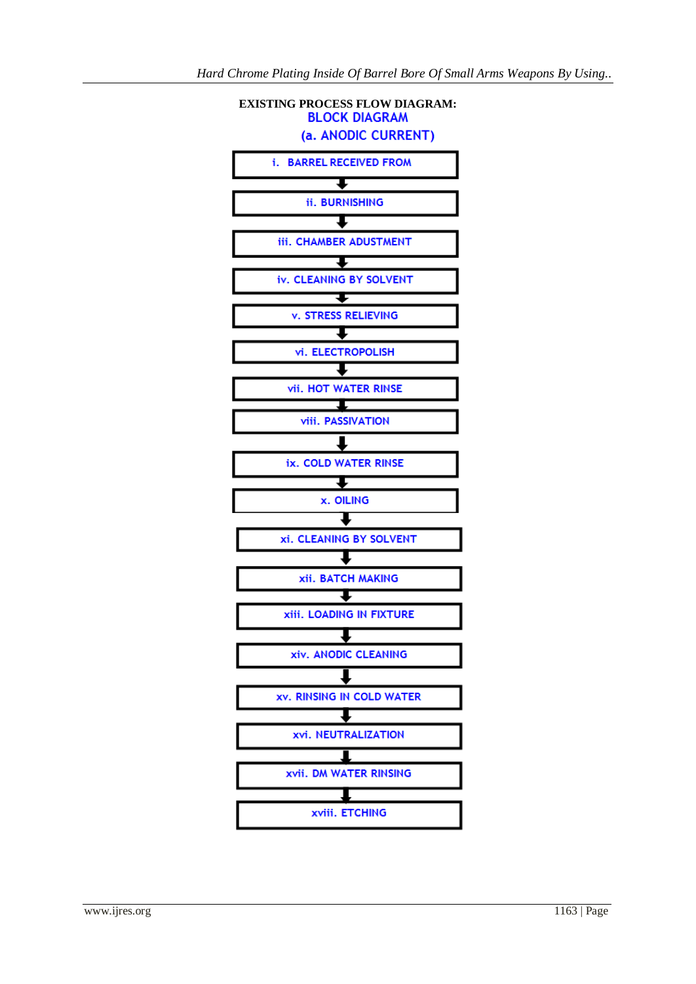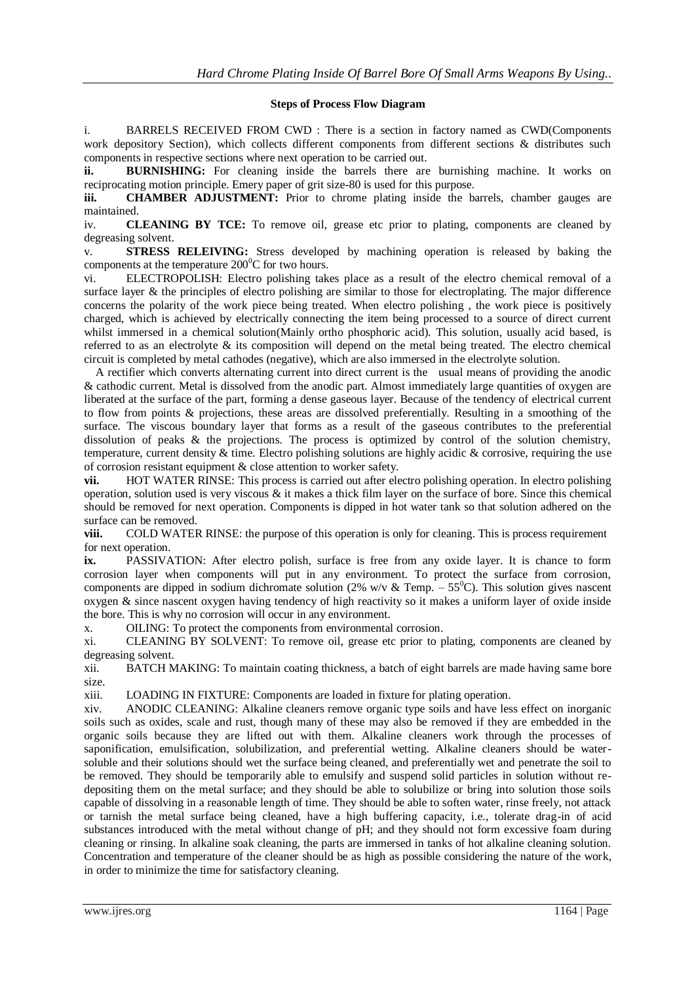#### **Steps of Process Flow Diagram**

i. BARRELS RECEIVED FROM CWD : There is a section in factory named as CWD(Components work depository Section), which collects different components from different sections & distributes such components in respective sections where next operation to be carried out.

**ii. BURNISHING:** For cleaning inside the barrels there are burnishing machine. It works on reciprocating motion principle. Emery paper of grit size-80 is used for this purpose.

**iii. CHAMBER ADJUSTMENT:** Prior to chrome plating inside the barrels, chamber gauges are maintained.

iv. **CLEANING BY TCE:** To remove oil, grease etc prior to plating, components are cleaned by degreasing solvent.

v. **STRESS RELEIVING:** Stress developed by machining operation is released by baking the components at the temperature  $200^{\circ}$ C for two hours.

vi. ELECTROPOLISH: Electro polishing takes place as a result of the electro chemical removal of a surface layer & the principles of electro polishing are similar to those for electroplating. The major difference concerns the polarity of the work piece being treated. When electro polishing , the work piece is positively charged, which is achieved by electrically connecting the item being processed to a source of direct current whilst immersed in a chemical solution(Mainly ortho phosphoric acid). This solution, usually acid based, is referred to as an electrolyte & its composition will depend on the metal being treated. The electro chemical circuit is completed by metal cathodes (negative), which are also immersed in the electrolyte solution.

 A rectifier which converts alternating current into direct current is the usual means of providing the anodic & cathodic current. Metal is dissolved from the anodic part. Almost immediately large quantities of oxygen are liberated at the surface of the part, forming a dense gaseous layer. Because of the tendency of electrical current to flow from points & projections, these areas are dissolved preferentially. Resulting in a smoothing of the surface. The viscous boundary layer that forms as a result of the gaseous contributes to the preferential dissolution of peaks & the projections. The process is optimized by control of the solution chemistry, temperature, current density & time. Electro polishing solutions are highly acidic & corrosive, requiring the use of corrosion resistant equipment & close attention to worker safety.

**vii.** HOT WATER RINSE: This process is carried out after electro polishing operation. In electro polishing operation, solution used is very viscous  $\&$  it makes a thick film layer on the surface of bore. Since this chemical should be removed for next operation. Components is dipped in hot water tank so that solution adhered on the surface can be removed.

**viii.** COLD WATER RINSE: the purpose of this operation is only for cleaning. This is process requirement for next operation.

**ix.** PASSIVATION: After electro polish, surface is free from any oxide layer. It is chance to form corrosion layer when components will put in any environment. To protect the surface from corrosion, components are dipped in sodium dichromate solution (2% w/v & Temp. – 55<sup>o</sup>C). This solution gives nascent oxygen & since nascent oxygen having tendency of high reactivity so it makes a uniform layer of oxide inside the bore. This is why no corrosion will occur in any environment.

x. OILING: To protect the components from environmental corrosion.

xi. CLEANING BY SOLVENT: To remove oil, grease etc prior to plating, components are cleaned by degreasing solvent.

xii. BATCH MAKING: To maintain coating thickness, a batch of eight barrels are made having same bore size.

xiii. LOADING IN FIXTURE: Components are loaded in fixture for plating operation.

xiv. ANODIC CLEANING: Alkaline cleaners remove organic type soils and have less effect on inorganic soils such as oxides, scale and rust, though many of these may also be removed if they are embedded in the organic soils because they are lifted out with them. Alkaline cleaners work through the processes of saponification, emulsification, solubilization, and preferential wetting. Alkaline cleaners should be watersoluble and their solutions should wet the surface being cleaned, and preferentially wet and penetrate the soil to be removed. They should be temporarily able to emulsify and suspend solid particles in solution without redepositing them on the metal surface; and they should be able to solubilize or bring into solution those soils capable of dissolving in a reasonable length of time. They should be able to soften water, rinse freely, not attack or tarnish the metal surface being cleaned, have a high buffering capacity, i.e., tolerate drag-in of acid substances introduced with the metal without change of pH; and they should not form excessive foam during cleaning or rinsing. In alkaline soak cleaning, the parts are immersed in tanks of hot alkaline cleaning solution. Concentration and temperature of the cleaner should be as high as possible considering the nature of the work, in order to minimize the time for satisfactory cleaning.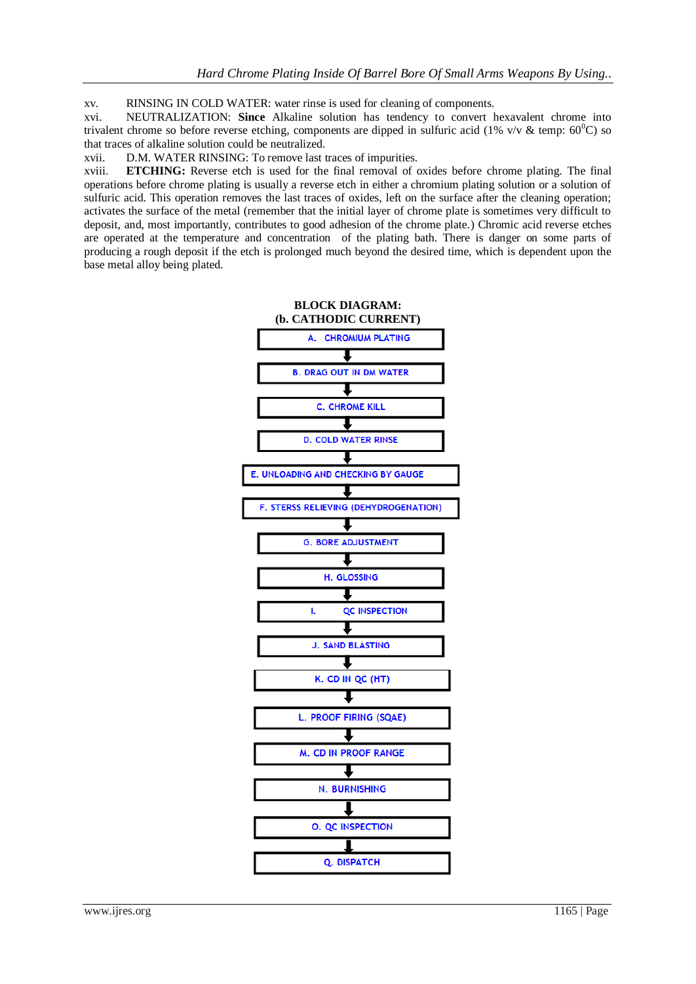xv. RINSING IN COLD WATER: water rinse is used for cleaning of components.

xvi. NEUTRALIZATION: **Since** Alkaline solution has tendency to convert hexavalent chrome into trivalent chrome so before reverse etching, components are dipped in sulfuric acid (1% v/v & temp:  $60^{\circ}$ C) so that traces of alkaline solution could be neutralized.

xvii. D.M. WATER RINSING: To remove last traces of impurities.

xviii. **ETCHING:** Reverse etch is used for the final removal of oxides before chrome plating. The final operations before chrome plating is usually a reverse etch in either a chromium plating solution or a solution of sulfuric acid. This operation removes the last traces of oxides, left on the surface after the cleaning operation; activates the surface of the metal (remember that the initial layer of chrome plate is sometimes very difficult to deposit, and, most importantly, contributes to good adhesion of the chrome plate.) Chromic acid reverse etches are operated at the temperature and concentration of the plating bath. There is danger on some parts of producing a rough deposit if the etch is prolonged much beyond the desired time, which is dependent upon the base metal alloy being plated.

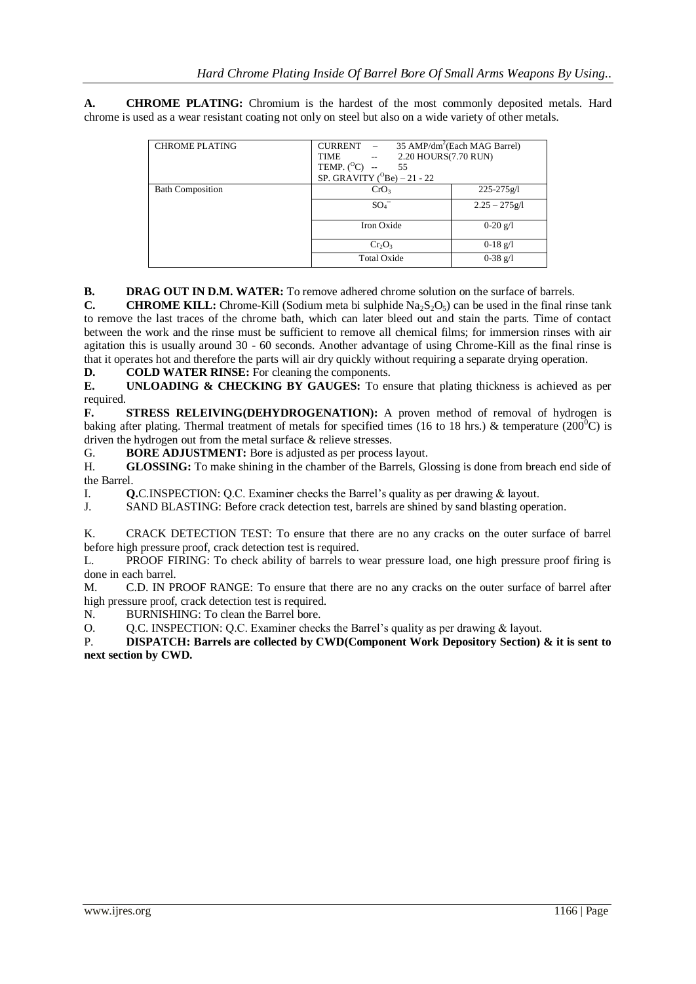**A. CHROME PLATING:** Chromium is the hardest of the most commonly deposited metals. Hard chrome is used as a wear resistant coating not only on steel but also on a wide variety of other metals.

| <b>CHROME PLATING</b>   | CURRENT -                                                                                 | 35 AMP/dm <sup>2</sup> (Each MAG Barrel) |
|-------------------------|-------------------------------------------------------------------------------------------|------------------------------------------|
|                         | 2.20 HOURS(7.70 RUN)<br>$\mathcal{L}^{\text{max}}$ and $\mathcal{L}^{\text{max}}$<br>TIME |                                          |
|                         | TEMP. $(^{0}C)$<br>55                                                                     |                                          |
|                         | SP. GRAVITY ( $^{O}$ Be) – 21 - 22                                                        |                                          |
| <b>Bath Composition</b> | CrO <sub>3</sub>                                                                          | $225 - 275g$                             |
|                         | $SO_4^-$                                                                                  | $2.25 - 275g/l$                          |
|                         | Iron Oxide                                                                                | $0-20$ g/l                               |
|                         | $Cr_2O_3$                                                                                 | $0-18$ g/l                               |
|                         | <b>Total Oxide</b>                                                                        | $0-38$ g/l                               |

**B. DRAG OUT IN D.M. WATER:** To remove adhered chrome solution on the surface of barrels.

**C. CHROME KILL:** Chrome-Kill (Sodium meta bi sulphide  $Na_2S_2O_5$ ) can be used in the final rinse tank to remove the last traces of the chrome bath, which can later bleed out and stain the parts. Time of contact between the work and the rinse must be sufficient to remove all chemical films; for immersion rinses with air agitation this is usually around 30 - 60 seconds. Another advantage of using Chrome-Kill as the final rinse is that it operates hot and therefore the parts will air dry quickly without requiring a separate drying operation.

**D. COLD WATER RINSE:** For cleaning the components.

**E. UNLOADING & CHECKING BY GAUGES:** To ensure that plating thickness is achieved as per required.

**F. STRESS RELEIVING(DEHYDROGENATION):** A proven method of removal of hydrogen is baking after plating. Thermal treatment of metals for specified times (16 to 18 hrs.) & temperature (200<sup>0</sup>C) is driven the hydrogen out from the metal surface & relieve stresses.

G. **BORE ADJUSTMENT:** Bore is adjusted as per process layout.

H. **GLOSSING:** To make shining in the chamber of the Barrels, Glossing is done from breach end side of the Barrel.

I. **Q.**C.INSPECTION: Q.C. Examiner checks the Barrel's quality as per drawing & layout.<br>J. SAND BLASTING: Before crack detection test, barrels are shined by sand blasting oper

SAND BLASTING: Before crack detection test, barrels are shined by sand blasting operation.

K. CRACK DETECTION TEST: To ensure that there are no any cracks on the outer surface of barrel before high pressure proof, crack detection test is required.

L. PROOF FIRING: To check ability of barrels to wear pressure load, one high pressure proof firing is done in each barrel.

M. C.D. IN PROOF RANGE: To ensure that there are no any cracks on the outer surface of barrel after high pressure proof, crack detection test is required.

N. BURNISHING: To clean the Barrel bore.

O. Q.C. INSPECTION: Q.C. Examiner checks the Barrel's quality as per drawing & layout.

P. **DISPATCH: Barrels are collected by CWD(Component Work Depository Section) & it is sent to next section by CWD.**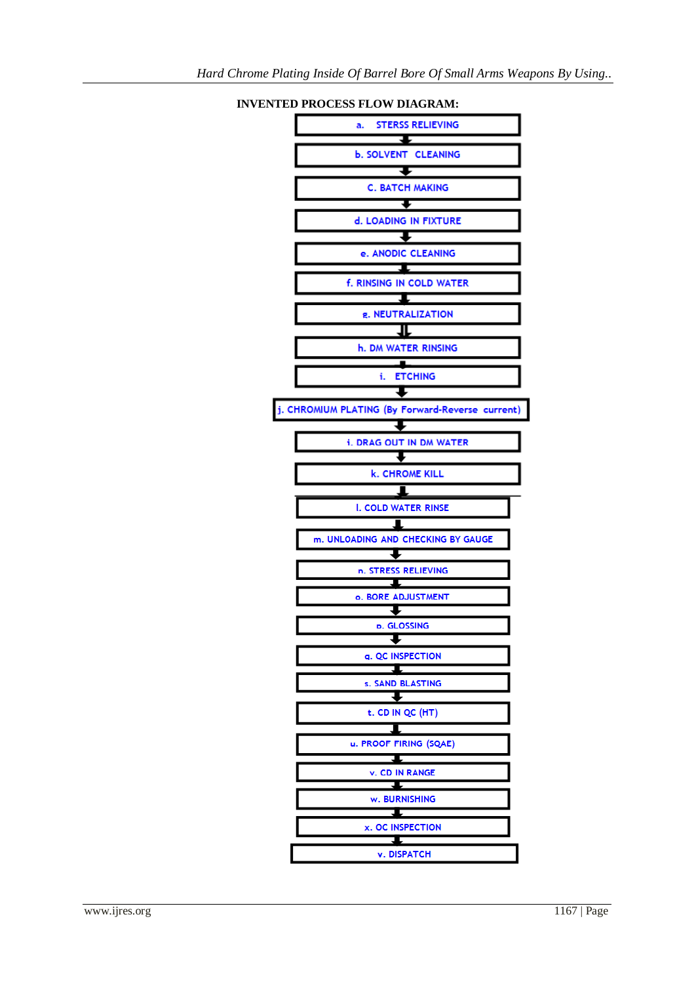

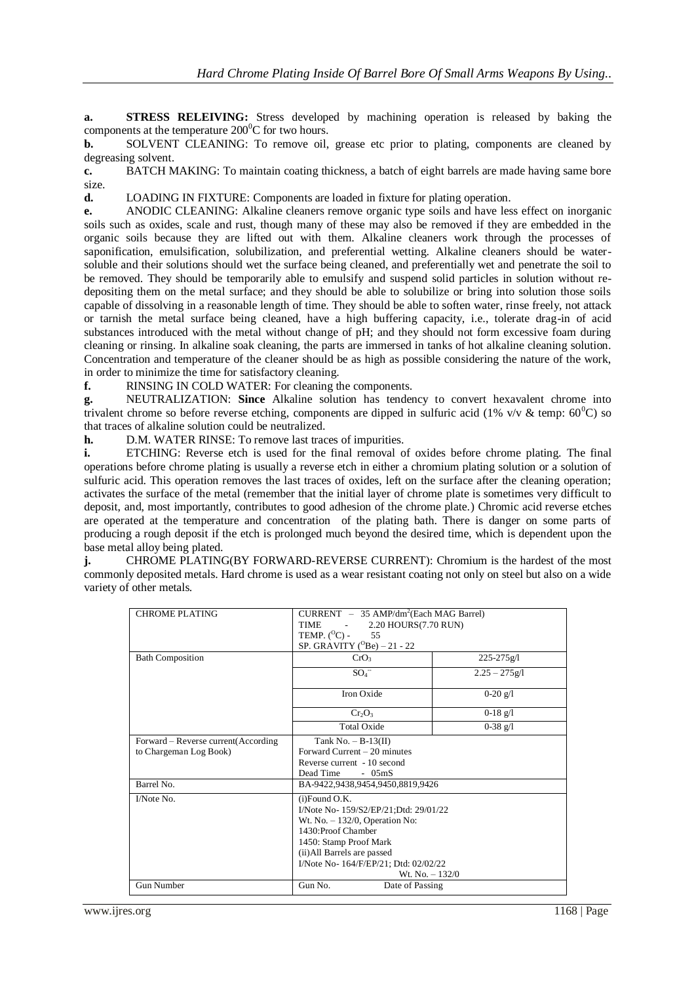**a. STRESS RELEIVING:** Stress developed by machining operation is released by baking the components at the temperature  $200^0C$  for two hours.

**b.** SOLVENT CLEANING: To remove oil, grease etc prior to plating, components are cleaned by degreasing solvent.

**c.** BATCH MAKING: To maintain coating thickness, a batch of eight barrels are made having same bore size.

**d.** LOADING IN FIXTURE: Components are loaded in fixture for plating operation.

**e.** ANODIC CLEANING: Alkaline cleaners remove organic type soils and have less effect on inorganic soils such as oxides, scale and rust, though many of these may also be removed if they are embedded in the organic soils because they are lifted out with them. Alkaline cleaners work through the processes of saponification, emulsification, solubilization, and preferential wetting. Alkaline cleaners should be watersoluble and their solutions should wet the surface being cleaned, and preferentially wet and penetrate the soil to be removed. They should be temporarily able to emulsify and suspend solid particles in solution without redepositing them on the metal surface; and they should be able to solubilize or bring into solution those soils capable of dissolving in a reasonable length of time. They should be able to soften water, rinse freely, not attack or tarnish the metal surface being cleaned, have a high buffering capacity, i.e., tolerate drag-in of acid substances introduced with the metal without change of pH; and they should not form excessive foam during cleaning or rinsing. In alkaline soak cleaning, the parts are immersed in tanks of hot alkaline cleaning solution. Concentration and temperature of the cleaner should be as high as possible considering the nature of the work, in order to minimize the time for satisfactory cleaning.

**f.** RINSING IN COLD WATER: For cleaning the components.

**g.** NEUTRALIZATION: **Since** Alkaline solution has tendency to convert hexavalent chrome into trivalent chrome so before reverse etching, components are dipped in sulfuric acid (1% v/v & temp:  $60^{\circ}$ C) so that traces of alkaline solution could be neutralized.

**h.** D.M. WATER RINSE: To remove last traces of impurities.

**i.** ETCHING: Reverse etch is used for the final removal of oxides before chrome plating. The final operations before chrome plating is usually a reverse etch in either a chromium plating solution or a solution of sulfuric acid. This operation removes the last traces of oxides, left on the surface after the cleaning operation; activates the surface of the metal (remember that the initial layer of chrome plate is sometimes very difficult to deposit, and, most importantly, contributes to good adhesion of the chrome plate.) Chromic acid reverse etches are operated at the temperature and concentration of the plating bath. There is danger on some parts of producing a rough deposit if the etch is prolonged much beyond the desired time, which is dependent upon the base metal alloy being plated.

**j.** CHROME PLATING(BY FORWARD-REVERSE CURRENT): Chromium is the hardest of the most commonly deposited metals. Hard chrome is used as a wear resistant coating not only on steel but also on a wide variety of other metals.

| <b>CHROME PLATING</b>                                         | $CURRENT - 35 AMP/dm2(Each MAG Barrel)$<br>2.20 HOURS (7.70 RUN)<br>TIME<br>TEMP. $(^{0}C)$ -<br>55<br>SP. GRAVITY ( $^{O}$ Be) – 21 - 22                                                                                                  |                 |
|---------------------------------------------------------------|--------------------------------------------------------------------------------------------------------------------------------------------------------------------------------------------------------------------------------------------|-----------------|
| <b>Bath Composition</b>                                       | CrO <sub>3</sub>                                                                                                                                                                                                                           | 225-275g/l      |
|                                                               | $SO_4^-$                                                                                                                                                                                                                                   | $2.25 - 275g/l$ |
|                                                               | Iron Oxide                                                                                                                                                                                                                                 | $0-20$ g/l      |
|                                                               | $Cr_2O_3$                                                                                                                                                                                                                                  | $0-18$ g/l      |
|                                                               | <b>Total Oxide</b>                                                                                                                                                                                                                         | $0-38$ g/l      |
| Forward - Reverse current(According<br>to Chargeman Log Book) | Tank No. $- B-13(II)$<br>Forward Current $-20$ minutes<br>Reverse current - 10 second<br>Dead Time<br>$-05mS$                                                                                                                              |                 |
| Barrel No.                                                    | BA-9422,9438,9454,9450,8819,9426                                                                                                                                                                                                           |                 |
| I/Note No.                                                    | $(i)$ Found O.K.<br>I/Note No- 159/S2/EP/21;Dtd: 29/01/22<br>Wt. No. $-132/0$ , Operation No:<br>1430: Proof Chamber<br>1450: Stamp Proof Mark<br>(ii) All Barrels are passed<br>I/Note No- 164/F/EP/21; Dtd: 02/02/22<br>Wt. No. $-132/0$ |                 |
| Gun Number                                                    | Gun No.<br>Date of Passing                                                                                                                                                                                                                 |                 |